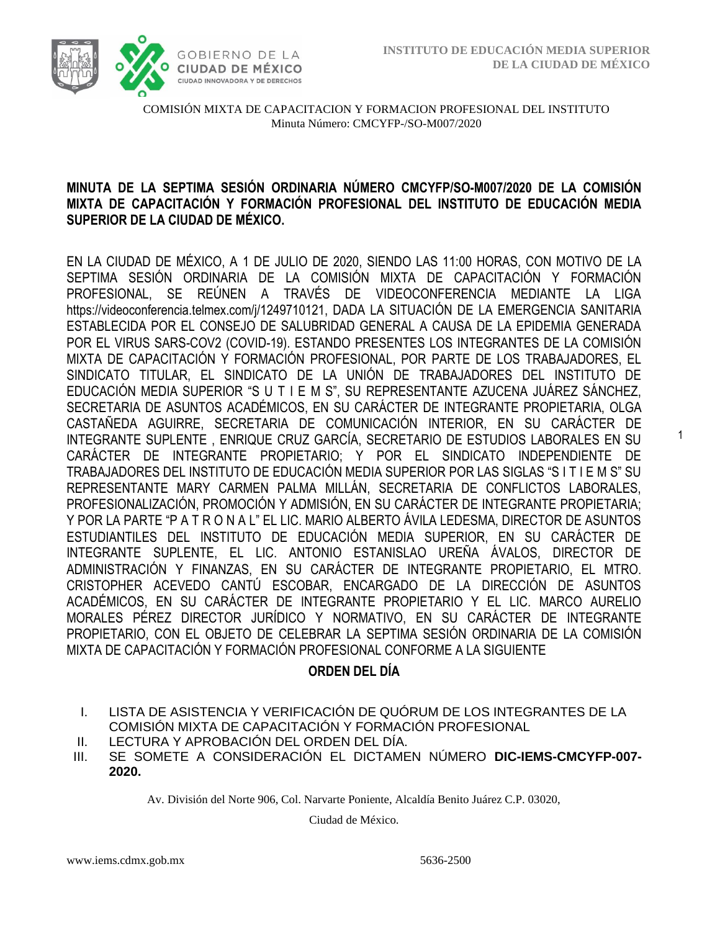1



COMISIÓN MIXTA DE CAPACITACION Y FORMACION PROFESIONAL DEL INSTITUTO Minuta Número: CMCYFP-/SO-M007/2020

# **MINUTA DE LA SEPTIMA SESIÓN ORDINARIA NÚMERO CMCYFP/SO-M007/2020 DE LA COMISIÓN MIXTA DE CAPACITACIÓN Y FORMACIÓN PROFESIONAL DEL INSTITUTO DE EDUCACIÓN MEDIA SUPERIOR DE LA CIUDAD DE MÉXICO.**

EN LA CIUDAD DE MÉXICO, A 1 DE JULIO DE 2020, SIENDO LAS 11:00 HORAS, CON MOTIVO DE LA SEPTIMA SESIÓN ORDINARIA DE LA COMISIÓN MIXTA DE CAPACITACIÓN Y FORMACIÓN PROFESIONAL, SE REÚNEN A TRAVÉS DE VIDEOCONFERENCIA MEDIANTE LA LIGA https://videoconferencia.telmex.com/j/1249710121, DADA LA SITUACIÓN DE LA EMERGENCIA SANITARIA ESTABLECIDA POR EL CONSEJO DE SALUBRIDAD GENERAL A CAUSA DE LA EPIDEMIA GENERADA POR EL VIRUS SARS-COV2 (COVID-19). ESTANDO PRESENTES LOS INTEGRANTES DE LA COMISIÓN MIXTA DE CAPACITACIÓN Y FORMACIÓN PROFESIONAL, POR PARTE DE LOS TRABAJADORES, EL SINDICATO TITULAR, EL SINDICATO DE LA UNIÓN DE TRABAJADORES DEL INSTITUTO DE EDUCACIÓN MEDIA SUPERIOR "S U T I E M S", SU REPRESENTANTE AZUCENA JUÁREZ SÁNCHEZ, SECRETARIA DE ASUNTOS ACADÉMICOS, EN SU CARÁCTER DE INTEGRANTE PROPIETARIA, OLGA CASTAÑEDA AGUIRRE, SECRETARIA DE COMUNICACIÓN INTERIOR, EN SU CARÁCTER DE INTEGRANTE SUPLENTE , ENRIQUE CRUZ GARCÍA, SECRETARIO DE ESTUDIOS LABORALES EN SU CARÁCTER DE INTEGRANTE PROPIETARIO; Y POR EL SINDICATO INDEPENDIENTE DE TRABAJADORES DEL INSTITUTO DE EDUCACIÓN MEDIA SUPERIOR POR LAS SIGLAS "S I T I E M S" SU REPRESENTANTE MARY CARMEN PALMA MILLÁN, SECRETARIA DE CONFLICTOS LABORALES, PROFESIONALIZACIÓN, PROMOCIÓN Y ADMISIÓN, EN SU CARÁCTER DE INTEGRANTE PROPIETARIA; Y POR LA PARTE "P A T R O N A L" EL LIC. MARIO ALBERTO ÁVILA LEDESMA, DIRECTOR DE ASUNTOS ESTUDIANTILES DEL INSTITUTO DE EDUCACIÓN MEDIA SUPERIOR, EN SU CARÁCTER DE INTEGRANTE SUPLENTE, EL LIC. ANTONIO ESTANISLAO UREÑA ÁVALOS, DIRECTOR DE ADMINISTRACIÓN Y FINANZAS, EN SU CARÁCTER DE INTEGRANTE PROPIETARIO, EL MTRO. CRISTOPHER ACEVEDO CANTÚ ESCOBAR, ENCARGADO DE LA DIRECCIÓN DE ASUNTOS ACADÉMICOS, EN SU CARÁCTER DE INTEGRANTE PROPIETARIO Y EL LIC. MARCO AURELIO MORALES PÉREZ DIRECTOR JURÍDICO Y NORMATIVO, EN SU CARÁCTER DE INTEGRANTE PROPIETARIO, CON EL OBJETO DE CELEBRAR LA SEPTIMA SESIÓN ORDINARIA DE LA COMISIÓN MIXTA DE CAPACITACIÓN Y FORMACIÓN PROFESIONAL CONFORME A LA SIGUIENTE

### **ORDEN DEL DÍA**

- I. LISTA DE ASISTENCIA Y VERIFICACIÓN DE QUÓRUM DE LOS INTEGRANTES DE LA COMISIÓN MIXTA DE CAPACITACIÓN Y FORMACIÓN PROFESIONAL
- II. LECTURA Y APROBACIÓN DEL ORDEN DEL DÍA.
- III. SE SOMETE A CONSIDERACIÓN EL DICTAMEN NÚMERO **DIC-IEMS-CMCYFP-007- 2020.**

Av. División del Norte 906, Col. Narvarte Poniente, Alcaldía Benito Juárez C.P. 03020,

Ciudad de México.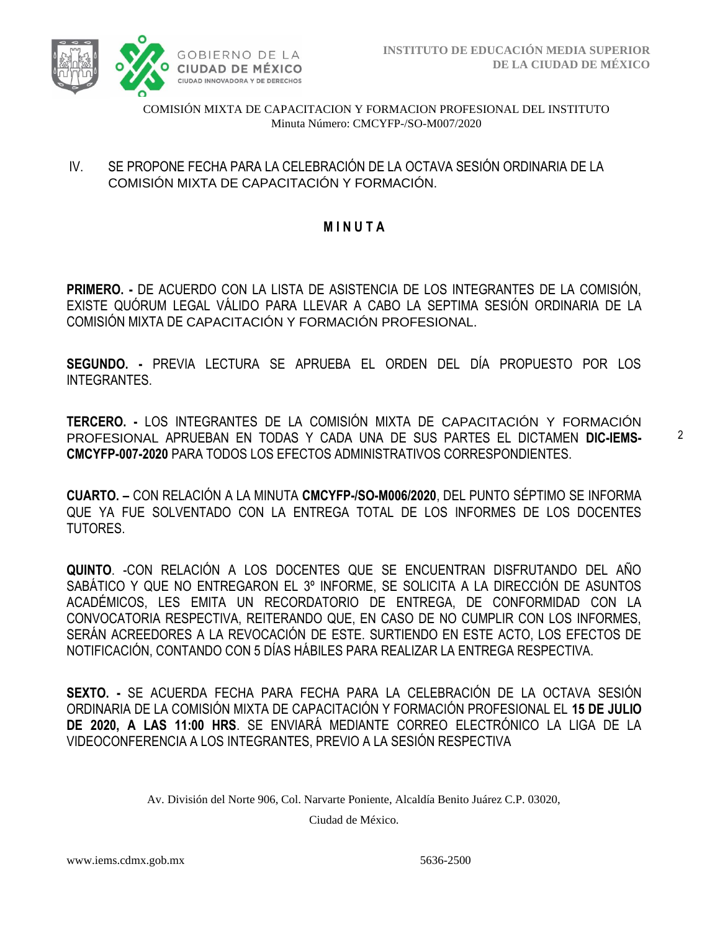

## IV. SE PROPONE FECHA PARA LA CELEBRACIÓN DE LA OCTAVA SESIÓN ORDINARIA DE LA COMISIÓN MIXTA DE CAPACITACIÓN Y FORMACIÓN.

# **M I N U T A**

**PRIMERO. -** DE ACUERDO CON LA LISTA DE ASISTENCIA DE LOS INTEGRANTES DE LA COMISIÓN, EXISTE QUÓRUM LEGAL VÁLIDO PARA LLEVAR A CABO LA SEPTIMA SESIÓN ORDINARIA DE LA COMISIÓN MIXTA DE CAPACITACIÓN Y FORMACIÓN PROFESIONAL.

**SEGUNDO. -** PREVIA LECTURA SE APRUEBA EL ORDEN DEL DÍA PROPUESTO POR LOS INTEGRANTES.

**TERCERO. -** LOS INTEGRANTES DE LA COMISIÓN MIXTA DE CAPACITACIÓN Y FORMACIÓN PROFESIONAL APRUEBAN EN TODAS Y CADA UNA DE SUS PARTES EL DICTAMEN **DIC-IEMS-CMCYFP-007-2020** PARA TODOS LOS EFECTOS ADMINISTRATIVOS CORRESPONDIENTES.

**CUARTO. –** CON RELACIÓN A LA MINUTA **CMCYFP-/SO-M006/2020**, DEL PUNTO SÉPTIMO SE INFORMA QUE YA FUE SOLVENTADO CON LA ENTREGA TOTAL DE LOS INFORMES DE LOS DOCENTES TUTORES.

**QUINTO**. -CON RELACIÓN A LOS DOCENTES QUE SE ENCUENTRAN DISFRUTANDO DEL AÑO SABÁTICO Y QUE NO ENTREGARON EL 3º INFORME, SE SOLICITA A LA DIRECCIÓN DE ASUNTOS ACADÉMICOS, LES EMITA UN RECORDATORIO DE ENTREGA, DE CONFORMIDAD CON LA CONVOCATORIA RESPECTIVA, REITERANDO QUE, EN CASO DE NO CUMPLIR CON LOS INFORMES, SERÁN ACREEDORES A LA REVOCACIÓN DE ESTE. SURTIENDO EN ESTE ACTO, LOS EFECTOS DE NOTIFICACIÓN, CONTANDO CON 5 DÍAS HÁBILES PARA REALIZAR LA ENTREGA RESPECTIVA.

**SEXTO. -** SE ACUERDA FECHA PARA FECHA PARA LA CELEBRACIÓN DE LA OCTAVA SESIÓN ORDINARIA DE LA COMISIÓN MIXTA DE CAPACITACIÓN Y FORMACIÓN PROFESIONAL EL **15 DE JULIO DE 2020, A LAS 11:00 HRS**. SE ENVIARÁ MEDIANTE CORREO ELECTRÓNICO LA LIGA DE LA VIDEOCONFERENCIA A LOS INTEGRANTES, PREVIO A LA SESIÓN RESPECTIVA

Av. División del Norte 906, Col. Narvarte Poniente, Alcaldía Benito Juárez C.P. 03020,

Ciudad de México.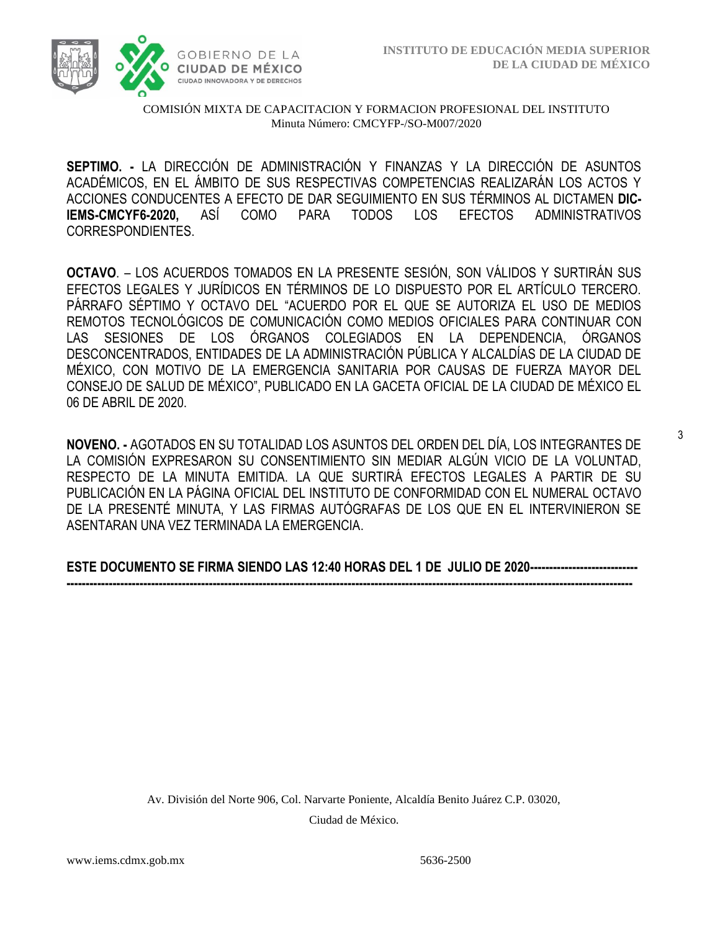

**SEPTIMO. -** LA DIRECCIÓN DE ADMINISTRACIÓN Y FINANZAS Y LA DIRECCIÓN DE ASUNTOS ACADÉMICOS, EN EL ÁMBITO DE SUS RESPECTIVAS COMPETENCIAS REALIZARÁN LOS ACTOS Y ACCIONES CONDUCENTES A EFECTO DE DAR SEGUIMIENTO EN SUS TÉRMINOS AL DICTAMEN **DIC-IEMS-CMCYF6-2020,** ASÍ COMO PARA TODOS LOS EFECTOS ADMINISTRATIVOS CORRESPONDIENTES.

**OCTAVO**. – LOS ACUERDOS TOMADOS EN LA PRESENTE SESIÓN, SON VÁLIDOS Y SURTIRÁN SUS EFECTOS LEGALES Y JURÍDICOS EN TÉRMINOS DE LO DISPUESTO POR EL ARTÍCULO TERCERO. PÁRRAFO SÉPTIMO Y OCTAVO DEL "ACUERDO POR EL QUE SE AUTORIZA EL USO DE MEDIOS REMOTOS TECNOLÓGICOS DE COMUNICACIÓN COMO MEDIOS OFICIALES PARA CONTINUAR CON LAS SESIONES DE LOS ÓRGANOS COLEGIADOS EN LA DEPENDENCIA, ÓRGANOS DESCONCENTRADOS, ENTIDADES DE LA ADMINISTRACIÓN PÚBLICA Y ALCALDÍAS DE LA CIUDAD DE MÉXICO, CON MOTIVO DE LA EMERGENCIA SANITARIA POR CAUSAS DE FUERZA MAYOR DEL CONSEJO DE SALUD DE MÉXICO", PUBLICADO EN LA GACETA OFICIAL DE LA CIUDAD DE MÉXICO EL 06 DE ABRIL DE 2020.

**NOVENO. -** AGOTADOS EN SU TOTALIDAD LOS ASUNTOS DEL ORDEN DEL DÍA, LOS INTEGRANTES DE LA COMISIÓN EXPRESARON SU CONSENTIMIENTO SIN MEDIAR ALGÚN VICIO DE LA VOLUNTAD, RESPECTO DE LA MINUTA EMITIDA. LA QUE SURTIRÁ EFECTOS LEGALES A PARTIR DE SU PUBLICACIÓN EN LA PÁGINA OFICIAL DEL INSTITUTO DE CONFORMIDAD CON EL NUMERAL OCTAVO DE LA PRESENTÉ MINUTA, Y LAS FIRMAS AUTÓGRAFAS DE LOS QUE EN EL INTERVINIERON SE ASENTARAN UNA VEZ TERMINADA LA EMERGENCIA.

**ESTE DOCUMENTO SE FIRMA SIENDO LAS 12:40 HORAS DEL 1 DE JULIO DE 2020---------------------------- ---------------------------------------------------------------------------------------------------------------------------------------------------**

> Av. División del Norte 906, Col. Narvarte Poniente, Alcaldía Benito Juárez C.P. 03020, Ciudad de México.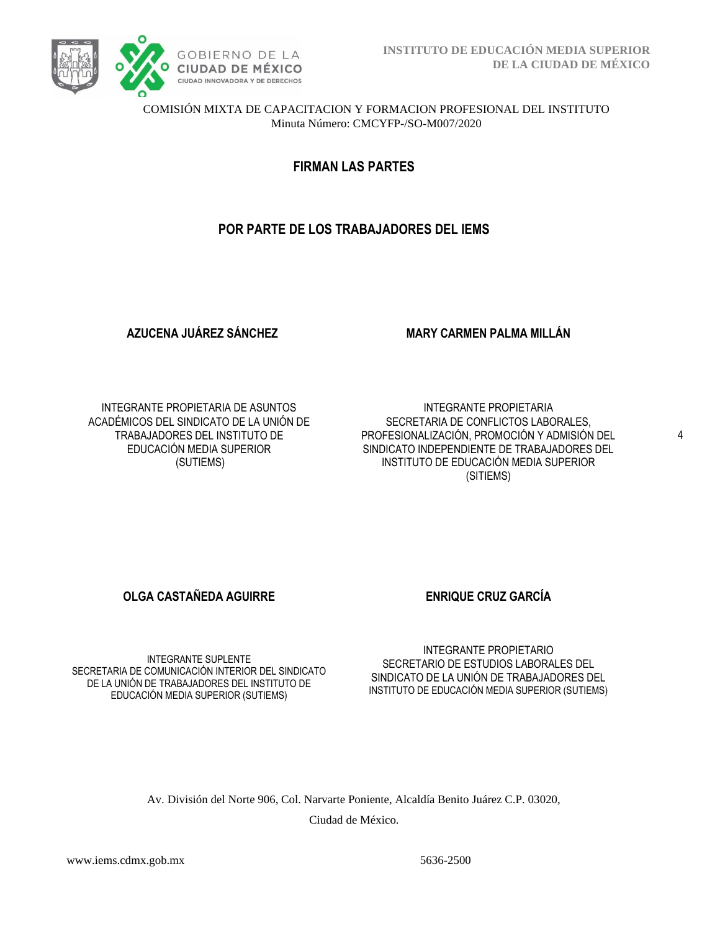

**FIRMAN LAS PARTES**

# **POR PARTE DE LOS TRABAJADORES DEL IEMS**

**AZUCENA JUÁREZ SÁNCHEZ**

**MARY CARMEN PALMA MILLÁN**

INTEGRANTE PROPIETARIA DE ASUNTOS ACADÉMICOS DEL SINDICATO DE LA UNIÓN DE TRABAJADORES DEL INSTITUTO DE EDUCACIÓN MEDIA SUPERIOR (SUTIEMS)

INTEGRANTE PROPIETARIA SECRETARIA DE CONFLICTOS LABORALES, PROFESIONALIZACIÓN, PROMOCIÓN Y ADMISIÓN DEL SINDICATO INDEPENDIENTE DE TRABAJADORES DEL INSTITUTO DE EDUCACIÓN MEDIA SUPERIOR (SITIEMS)

4

**OLGA CASTAÑEDA AGUIRRE ENRIQUE CRUZ GARCÍA** 

INTEGRANTE SUPLENTE SECRETARIA DE COMUNICACIÓN INTERIOR DEL SINDICATO DE LA UNIÓN DE TRABAJADORES DEL INSTITUTO DE EDUCACIÓN MEDIA SUPERIOR (SUTIEMS)

INTEGRANTE PROPIETARIO SECRETARIO DE ESTUDIOS LABORALES DEL SINDICATO DE LA UNIÓN DE TRABAJADORES DEL INSTITUTO DE EDUCACIÓN MEDIA SUPERIOR (SUTIEMS)

Av. División del Norte 906, Col. Narvarte Poniente, Alcaldía Benito Juárez C.P. 03020, Ciudad de México.